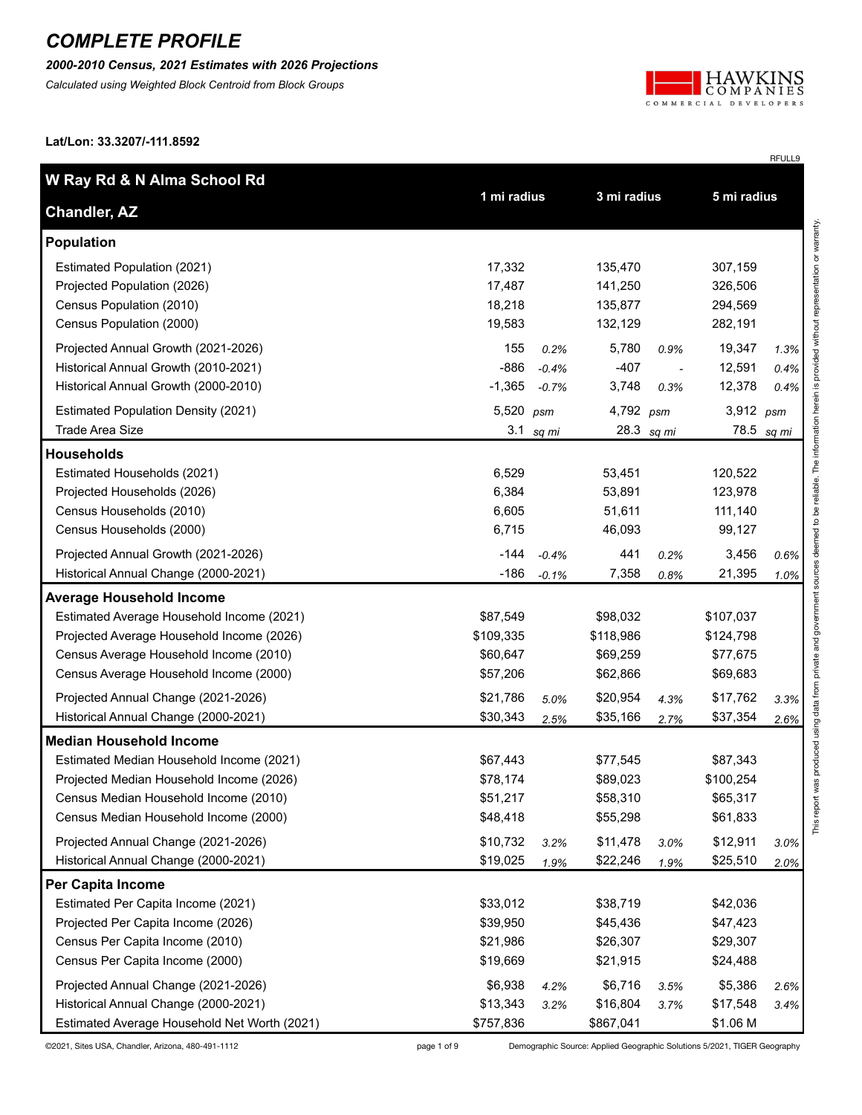*2000-2010 Census, 2021 Estimates with 2026 Projections*

*Calculated using Weighted Block Centroid from Block Groups*



RFULL9

**Lat/Lon: 33.3207/-111.8592**

| W Ray Rd & N Alma School Rd                  |             |         |             |            |             |       |
|----------------------------------------------|-------------|---------|-------------|------------|-------------|-------|
| <b>Chandler, AZ</b>                          | 1 mi radius |         | 3 mi radius |            | 5 mi radius |       |
| Population                                   |             |         |             |            |             |       |
| Estimated Population (2021)                  | 17,332      |         | 135,470     |            | 307,159     |       |
| Projected Population (2026)                  | 17,487      |         | 141,250     |            | 326,506     |       |
| Census Population (2010)                     | 18,218      |         | 135,877     |            | 294,569     |       |
| Census Population (2000)                     | 19,583      |         | 132,129     |            | 282,191     |       |
| Projected Annual Growth (2021-2026)          | 155         | 0.2%    | 5,780       | 0.9%       | 19,347      | 1.3%  |
| Historical Annual Growth (2010-2021)         | $-886$      | $-0.4%$ | $-407$      |            | 12,591      | 0.4%  |
| Historical Annual Growth (2000-2010)         | $-1,365$    | $-0.7%$ | 3,748       | 0.3%       | 12,378      | 0.4%  |
| <b>Estimated Population Density (2021)</b>   | 5,520       | psm     | 4,792 psm   |            | 3,912 psm   |       |
| Trade Area Size                              | 3.1         | sq mi   |             | 28.3 sq mi | 78.5        | sq mi |
| <b>Households</b>                            |             |         |             |            |             |       |
| Estimated Households (2021)                  | 6,529       |         | 53,451      |            | 120,522     |       |
| Projected Households (2026)                  | 6,384       |         | 53,891      |            | 123,978     |       |
| Census Households (2010)                     | 6,605       |         | 51,611      |            | 111,140     |       |
| Census Households (2000)                     | 6,715       |         | 46,093      |            | 99,127      |       |
| Projected Annual Growth (2021-2026)          | $-144$      | $-0.4%$ | 441         | 0.2%       | 3,456       | 0.6%  |
| Historical Annual Change (2000-2021)         | $-186$      | $-0.1%$ | 7,358       | 0.8%       | 21,395      | 1.0%  |
| <b>Average Household Income</b>              |             |         |             |            |             |       |
| Estimated Average Household Income (2021)    | \$87,549    |         | \$98,032    |            | \$107,037   |       |
| Projected Average Household Income (2026)    | \$109,335   |         | \$118,986   |            | \$124,798   |       |
| Census Average Household Income (2010)       | \$60,647    |         | \$69,259    |            | \$77,675    |       |
| Census Average Household Income (2000)       | \$57,206    |         | \$62,866    |            | \$69,683    |       |
| Projected Annual Change (2021-2026)          | \$21,786    | 5.0%    | \$20,954    | 4.3%       | \$17,762    | 3.3%  |
| Historical Annual Change (2000-2021)         | \$30,343    | 2.5%    | \$35,166    | 2.7%       | \$37,354    | 2.6%  |
| <b>Median Household Income</b>               |             |         |             |            |             |       |
| Estimated Median Household Income (2021)     | \$67,443    |         | \$77,545    |            | \$87,343    |       |
| Projected Median Household Income (2026)     | \$78,174    |         | \$89,023    |            | \$100,254   |       |
| Census Median Household Income (2010)        | \$51,217    |         | \$58,310    |            | \$65,317    |       |
| Census Median Household Income (2000)        | \$48,418    |         | \$55,298    |            | \$61,833    |       |
| Projected Annual Change (2021-2026)          | \$10,732    | 3.2%    | \$11,478    | 3.0%       | \$12,911    | 3.0%  |
| Historical Annual Change (2000-2021)         | \$19,025    | 1.9%    | \$22,246    | 1.9%       | \$25,510    | 2.0%  |
| <b>Per Capita Income</b>                     |             |         |             |            |             |       |
| Estimated Per Capita Income (2021)           | \$33,012    |         | \$38,719    |            | \$42,036    |       |
| Projected Per Capita Income (2026)           | \$39,950    |         | \$45,436    |            | \$47,423    |       |
| Census Per Capita Income (2010)              | \$21,986    |         | \$26,307    |            | \$29,307    |       |
| Census Per Capita Income (2000)              | \$19,669    |         | \$21,915    |            | \$24,488    |       |
| Projected Annual Change (2021-2026)          | \$6,938     | 4.2%    | \$6,716     | 3.5%       | \$5,386     | 2.6%  |
| Historical Annual Change (2000-2021)         | \$13,343    | 3.2%    | \$16,804    | 3.7%       | \$17,548    | 3.4%  |
| Estimated Average Household Net Worth (2021) | \$757,836   |         | \$867,041   |            | \$1.06 M    |       |

©2021, Sites USA, Chandler, Arizona, 480-491-1112 page 1 of 9 Demographic Source: Applied Geographic Solutions 5/2021, TIGER Geography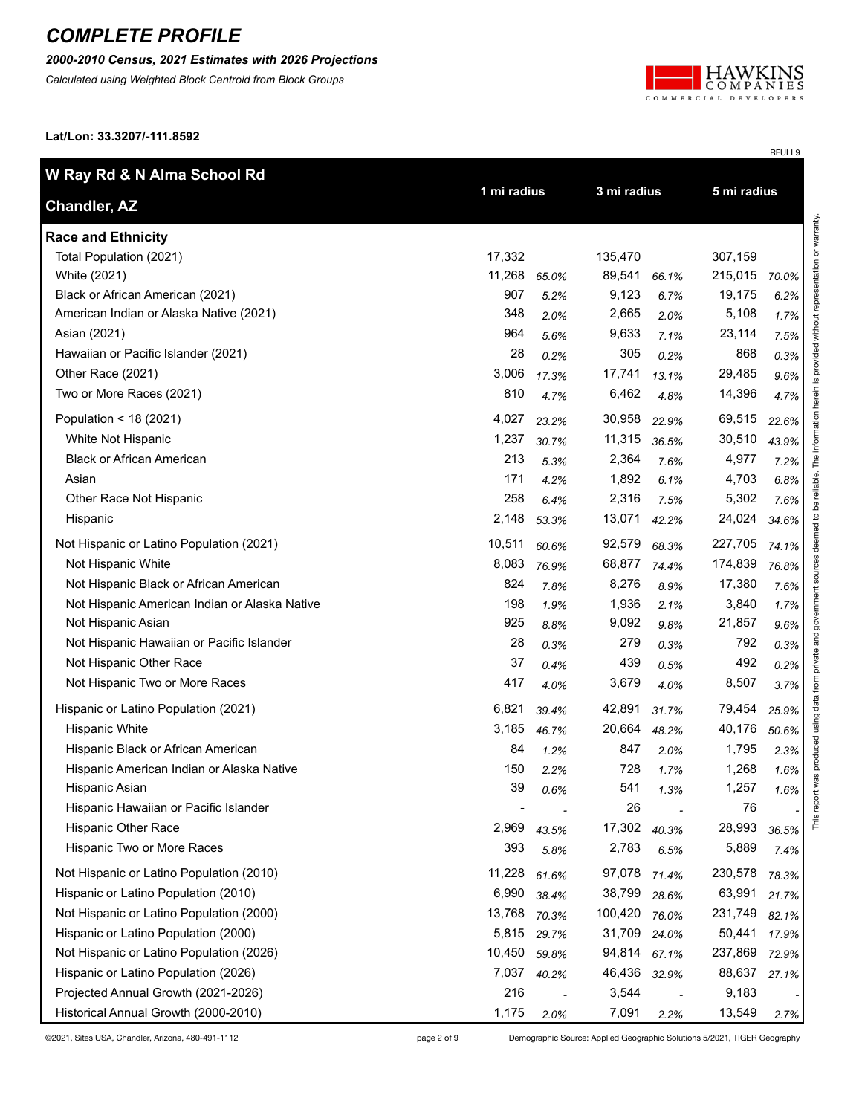#### *2000-2010 Census, 2021 Estimates with 2026 Projections*

*Calculated using Weighted Block Centroid from Block Groups*



RFULL9

**Lat/Lon: 33.3207/-111.8592**

| W Ray Rd & N Alma School Rd                   |        |             |         |                            |         |       |
|-----------------------------------------------|--------|-------------|---------|----------------------------|---------|-------|
| <b>Chandler, AZ</b>                           |        | 1 mi radius |         | 3 mi radius<br>5 mi radius |         |       |
| <b>Race and Ethnicity</b>                     |        |             |         |                            |         |       |
| Total Population (2021)                       | 17,332 |             | 135,470 |                            | 307,159 |       |
| White (2021)                                  | 11,268 | 65.0%       | 89,541  | 66.1%                      | 215,015 | 70.0% |
| Black or African American (2021)              | 907    | 5.2%        | 9,123   | 6.7%                       | 19,175  | 6.2%  |
| American Indian or Alaska Native (2021)       | 348    | 2.0%        | 2,665   | 2.0%                       | 5,108   | 1.7%  |
| Asian (2021)                                  | 964    | 5.6%        | 9,633   | 7.1%                       | 23,114  | 7.5%  |
| Hawaiian or Pacific Islander (2021)           | 28     | 0.2%        | 305     | 0.2%                       | 868     | 0.3%  |
| Other Race (2021)                             | 3,006  | 17.3%       | 17,741  | 13.1%                      | 29,485  | 9.6%  |
| Two or More Races (2021)                      | 810    | 4.7%        | 6,462   | 4.8%                       | 14,396  | 4.7%  |
| Population < 18 (2021)                        | 4,027  | 23.2%       | 30,958  | 22.9%                      | 69,515  | 22.6% |
| White Not Hispanic                            | 1,237  | 30.7%       | 11,315  | 36.5%                      | 30,510  | 43.9% |
| <b>Black or African American</b>              | 213    | 5.3%        | 2,364   | 7.6%                       | 4,977   | 7.2%  |
| Asian                                         | 171    | 4.2%        | 1,892   | 6.1%                       | 4,703   | 6.8%  |
| Other Race Not Hispanic                       | 258    | 6.4%        | 2,316   | 7.5%                       | 5,302   | 7.6%  |
| Hispanic                                      | 2,148  | 53.3%       | 13,071  | 42.2%                      | 24,024  | 34.6% |
| Not Hispanic or Latino Population (2021)      | 10,511 | 60.6%       | 92,579  | 68.3%                      | 227,705 | 74.1% |
| Not Hispanic White                            | 8,083  | 76.9%       | 68,877  | 74.4%                      | 174,839 | 76.8% |
| Not Hispanic Black or African American        | 824    | 7.8%        | 8,276   | 8.9%                       | 17,380  | 7.6%  |
| Not Hispanic American Indian or Alaska Native | 198    | 1.9%        | 1,936   | 2.1%                       | 3,840   | 1.7%  |
| Not Hispanic Asian                            | 925    | 8.8%        | 9,092   | 9.8%                       | 21,857  | 9.6%  |
| Not Hispanic Hawaiian or Pacific Islander     | 28     | 0.3%        | 279     | 0.3%                       | 792     | 0.3%  |
| Not Hispanic Other Race                       | 37     | 0.4%        | 439     | 0.5%                       | 492     | 0.2%  |
| Not Hispanic Two or More Races                | 417    | 4.0%        | 3,679   | 4.0%                       | 8,507   | 3.7%  |
| Hispanic or Latino Population (2021)          | 6,821  | 39.4%       | 42,891  | 31.7%                      | 79,454  | 25.9% |
| <b>Hispanic White</b>                         | 3,185  | 46.7%       | 20,664  | 48.2%                      | 40,176  | 50.6% |
| Hispanic Black or African American            | 84     | 1.2%        | 847     | 2.0%                       | 1,795   | 2.3%  |
| Hispanic American Indian or Alaska Native     | 150    | 2.2%        | 728     | 1.7%                       | 1,268   | 1.6%  |
| Hispanic Asian                                | 39     | 0.6%        | 541     | 1.3%                       | 1,257   | 1.6%  |
| Hispanic Hawaiian or Pacific Islander         |        |             | 26      |                            | 76      |       |
| Hispanic Other Race                           | 2,969  | 43.5%       | 17,302  | 40.3%                      | 28,993  | 36.5% |
| Hispanic Two or More Races                    | 393    | 5.8%        | 2,783   | 6.5%                       | 5,889   | 7.4%  |
| Not Hispanic or Latino Population (2010)      | 11,228 | 61.6%       | 97,078  | 71.4%                      | 230,578 | 78.3% |
| Hispanic or Latino Population (2010)          | 6,990  | 38.4%       | 38,799  | 28.6%                      | 63,991  | 21.7% |
| Not Hispanic or Latino Population (2000)      | 13,768 | 70.3%       | 100,420 | 76.0%                      | 231,749 | 82.1% |
| Hispanic or Latino Population (2000)          | 5,815  | 29.7%       | 31,709  | 24.0%                      | 50,441  | 17.9% |
| Not Hispanic or Latino Population (2026)      | 10,450 | 59.8%       | 94,814  | 67.1%                      | 237,869 | 72.9% |
| Hispanic or Latino Population (2026)          | 7,037  | 40.2%       | 46,436  | 32.9%                      | 88,637  | 27.1% |
| Projected Annual Growth (2021-2026)           | 216    |             | 3,544   |                            | 9,183   |       |
| Historical Annual Growth (2000-2010)          | 1,175  | 2.0%        | 7,091   | 2.2%                       | 13,549  | 2.7%  |

©2021, Sites USA, Chandler, Arizona, 480-491-1112 page 2 of 9 Demographic Source: Applied Geographic Solutions 5/2021, TIGER Geography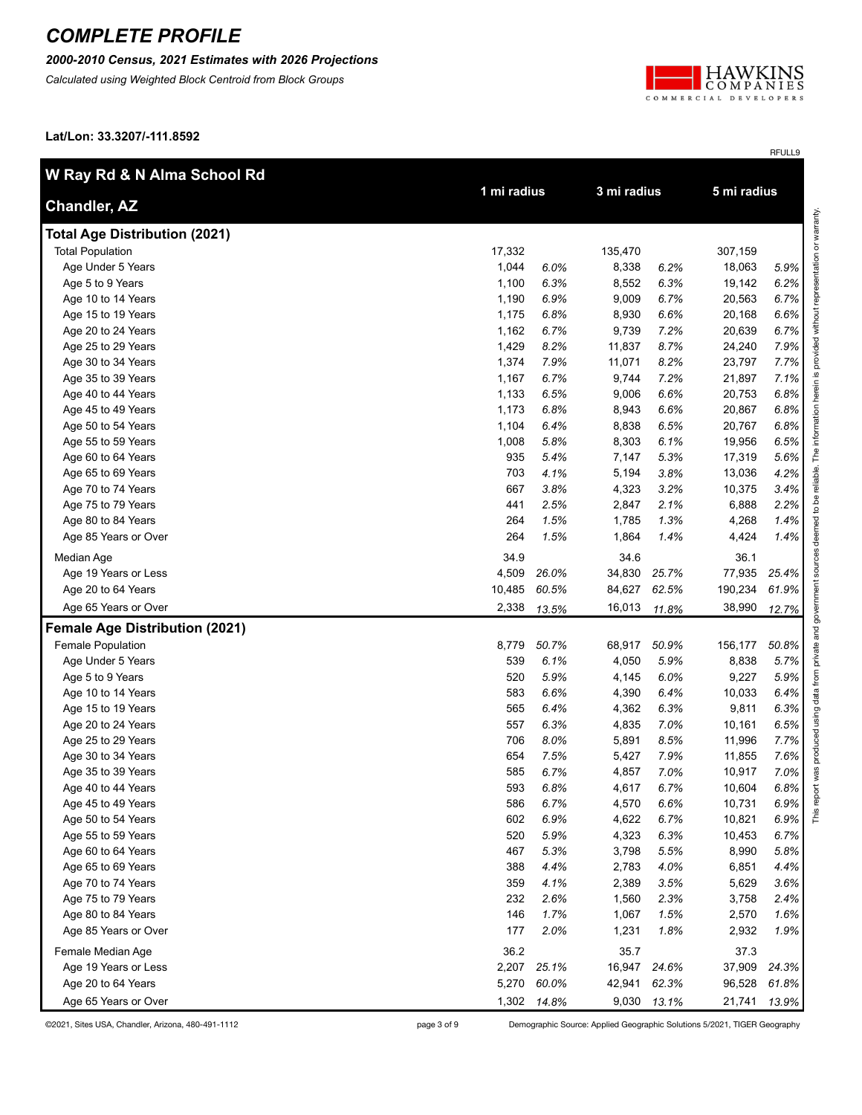### *2000-2010 Census, 2021 Estimates with 2026 Projections*

*Calculated using Weighted Block Centroid from Block Groups*



RFULL9

**Lat/Lon: 33.3207/-111.8592**

| W Ray Rd & N Alma School Rd           |             |             | 3 mi radius |             | 5 mi radius |       |
|---------------------------------------|-------------|-------------|-------------|-------------|-------------|-------|
| <b>Chandler, AZ</b>                   | 1 mi radius |             |             |             |             |       |
| <b>Total Age Distribution (2021)</b>  |             |             |             |             |             |       |
| <b>Total Population</b>               | 17,332      |             | 135,470     |             | 307,159     |       |
| Age Under 5 Years                     | 1,044       | 6.0%        | 8,338       | 6.2%        | 18,063      | 5.9%  |
| Age 5 to 9 Years                      | 1,100       | 6.3%        | 8,552       | 6.3%        | 19,142      | 6.2%  |
| Age 10 to 14 Years                    | 1,190       | 6.9%        | 9,009       | 6.7%        | 20,563      | 6.7%  |
| Age 15 to 19 Years                    | 1,175       | 6.8%        | 8,930       | 6.6%        | 20,168      | 6.6%  |
| Age 20 to 24 Years                    | 1,162       | 6.7%        | 9,739       | 7.2%        | 20,639      | 6.7%  |
| Age 25 to 29 Years                    | 1,429       | 8.2%        | 11,837      | 8.7%        | 24,240      | 7.9%  |
| Age 30 to 34 Years                    | 1,374       | 7.9%        | 11,071      | 8.2%        | 23,797      | 7.7%  |
| Age 35 to 39 Years                    | 1,167       | 6.7%        | 9,744       | 7.2%        | 21,897      | 7.1%  |
| Age 40 to 44 Years                    | 1,133       | 6.5%        | 9,006       | 6.6%        | 20,753      | 6.8%  |
| Age 45 to 49 Years                    | 1,173       | 6.8%        | 8,943       | 6.6%        | 20,867      | 6.8%  |
| Age 50 to 54 Years                    | 1,104       | 6.4%        | 8,838       | 6.5%        | 20,767      | 6.8%  |
| Age 55 to 59 Years                    | 1,008       | 5.8%        | 8,303       | 6.1%        | 19,956      | 6.5%  |
| Age 60 to 64 Years                    | 935         | 5.4%        | 7,147       | 5.3%        | 17,319      | 5.6%  |
| Age 65 to 69 Years                    | 703         | 4.1%        | 5,194       | 3.8%        | 13,036      | 4.2%  |
| Age 70 to 74 Years                    | 667         | 3.8%        | 4,323       | 3.2%        | 10,375      | 3.4%  |
| Age 75 to 79 Years                    | 441         | 2.5%        | 2,847       | 2.1%        | 6,888       | 2.2%  |
| Age 80 to 84 Years                    | 264         | 1.5%        | 1,785       | 1.3%        | 4,268       | 1.4%  |
| Age 85 Years or Over                  | 264         | 1.5%        | 1,864       | 1.4%        | 4,424       | 1.4%  |
| Median Age                            | 34.9        |             | 34.6        |             | 36.1        |       |
| Age 19 Years or Less                  | 4,509       | 26.0%       | 34,830      | 25.7%       | 77,935      | 25.4% |
| Age 20 to 64 Years                    | 10,485      | 60.5%       | 84,627      | 62.5%       | 190,234     | 61.9% |
| Age 65 Years or Over                  | 2,338       | 13.5%       | 16,013      | 11.8%       | 38,990      | 12.7% |
| <b>Female Age Distribution (2021)</b> |             |             |             |             |             |       |
| Female Population                     | 8,779       | 50.7%       | 68,917      | 50.9%       | 156,177     | 50.8% |
| Age Under 5 Years                     | 539         | 6.1%        | 4,050       | 5.9%        | 8,838       | 5.7%  |
| Age 5 to 9 Years                      | 520         | 5.9%        | 4,145       | 6.0%        | 9,227       | 5.9%  |
| Age 10 to 14 Years                    | 583         | 6.6%        | 4,390       | 6.4%        | 10,033      | 6.4%  |
| Age 15 to 19 Years                    | 565         | 6.4%        | 4,362       | 6.3%        | 9,811       | 6.3%  |
| Age 20 to 24 Years                    | 557         | 6.3%        | 4,835       | 7.0%        | 10,161      | 6.5%  |
| Age 25 to 29 Years                    | 706         | 8.0%        | 5,891       | 8.5%        | 11,996      | 7.7%  |
| Age 30 to 34 Years                    | 654         | 7.5%        | 5,427       | 7.9%        | 11,855      | 7.6%  |
| Age 35 to 39 Years                    | 585         | 6.7%        | 4,857       | 7.0%        | 10,917      | 7.0%  |
| Age 40 to 44 Years                    | 593         | 6.8%        | 4,617       | 6.7%        | 10,604      | 6.8%  |
| Age 45 to 49 Years                    | 586         | 6.7%        | 4,570       | 6.6%        | 10,731      | 6.9%  |
| Age 50 to 54 Years                    | 602         | 6.9%        | 4,622       | 6.7%        | 10,821      | 6.9%  |
| Age 55 to 59 Years                    | 520         | 5.9%        | 4,323       | 6.3%        | 10,453      | 6.7%  |
| Age 60 to 64 Years                    | 467         | 5.3%        | 3,798       | 5.5%        | 8,990       | 5.8%  |
| Age 65 to 69 Years                    | 388         | 4.4%        | 2,783       | 4.0%        | 6,851       | 4.4%  |
| Age 70 to 74 Years                    | 359         | 4.1%        | 2,389       | 3.5%        | 5,629       | 3.6%  |
| Age 75 to 79 Years                    | 232         | 2.6%        | 1,560       | 2.3%        | 3,758       | 2.4%  |
| Age 80 to 84 Years                    | 146         | 1.7%        | 1,067       | 1.5%        | 2,570       | 1.6%  |
| Age 85 Years or Over                  | 177         | 2.0%        | 1,231       | 1.8%        | 2,932       | 1.9%  |
| Female Median Age                     | 36.2        |             | 35.7        |             | 37.3        |       |
| Age 19 Years or Less                  | 2,207       | 25.1%       | 16,947      | 24.6%       | 37,909      | 24.3% |
| Age 20 to 64 Years                    | 5,270       | 60.0%       | 42,941      | 62.3%       | 96,528      | 61.8% |
| Age 65 Years or Over                  |             | 1,302 14.8% |             | 9,030 13.1% | 21,741      | 13.9% |

©2021, Sites USA, Chandler, Arizona, 480-491-1112 page 3 of 9 Demographic Source: Applied Geographic Solutions 5/2021, TIGER Geography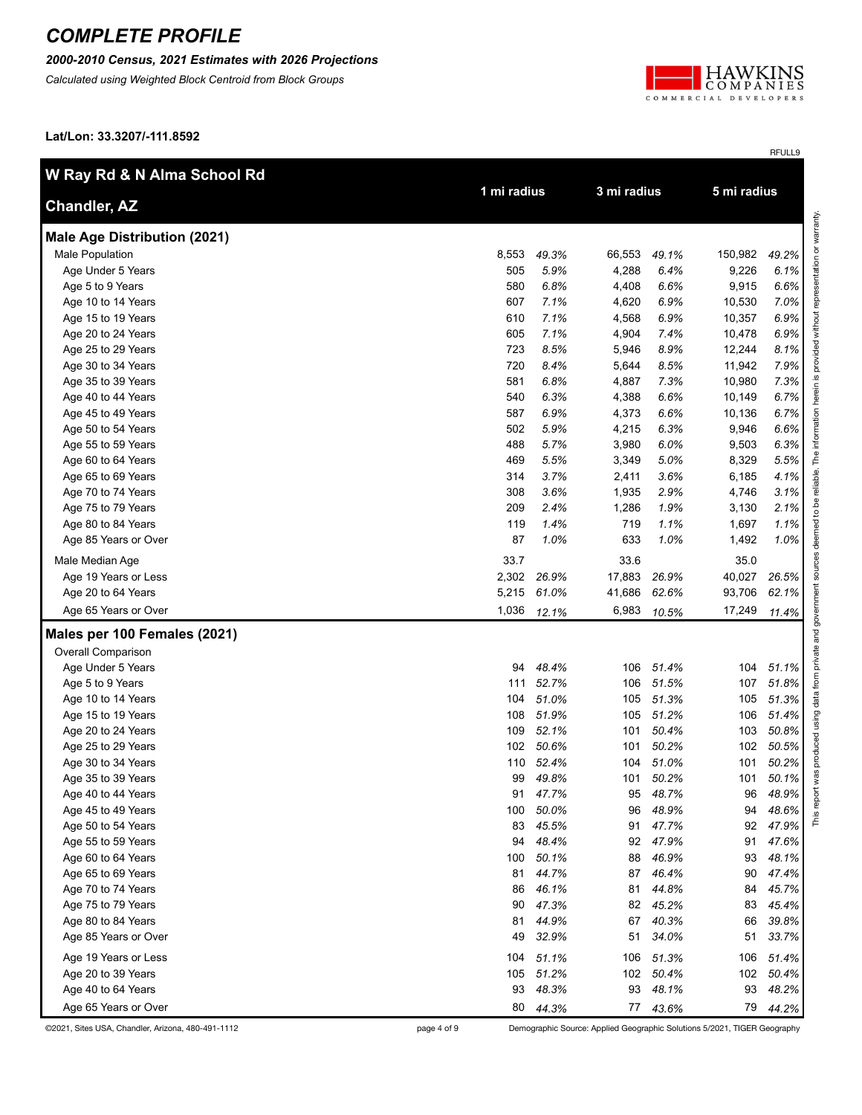### *2000-2010 Census, 2021 Estimates with 2026 Projections*

*Calculated using Weighted Block Centroid from Block Groups*



RFULL9

**Lat/Lon: 33.3207/-111.8592**

| W Ray Rd & N Alma School Rd         |             |          |             |                |             |       |
|-------------------------------------|-------------|----------|-------------|----------------|-------------|-------|
| <b>Chandler, AZ</b>                 | 1 mi radius |          | 3 mi radius |                | 5 mi radius |       |
| <b>Male Age Distribution (2021)</b> |             |          |             |                |             |       |
| Male Population                     | 8,553       | 49.3%    | 66,553      | 49.1%          | 150,982     | 49.2% |
| Age Under 5 Years                   | 505         | 5.9%     | 4,288       | 6.4%           | 9,226       | 6.1%  |
| Age 5 to 9 Years                    | 580         | 6.8%     | 4,408       | 6.6%           | 9,915       | 6.6%  |
| Age 10 to 14 Years                  | 607         | 7.1%     | 4,620       | 6.9%           | 10,530      | 7.0%  |
| Age 15 to 19 Years                  | 610         | 7.1%     | 4,568       | 6.9%           | 10,357      | 6.9%  |
| Age 20 to 24 Years                  | 605         | 7.1%     | 4,904       | 7.4%           | 10,478      | 6.9%  |
| Age 25 to 29 Years                  | 723         | 8.5%     | 5,946       | 8.9%           | 12,244      | 8.1%  |
| Age 30 to 34 Years                  | 720         | 8.4%     | 5,644       | 8.5%           | 11,942      | 7.9%  |
| Age 35 to 39 Years                  | 581         | 6.8%     | 4,887       | 7.3%           | 10,980      | 7.3%  |
| Age 40 to 44 Years                  | 540         | 6.3%     | 4,388       | 6.6%           | 10,149      | 6.7%  |
| Age 45 to 49 Years                  | 587         | 6.9%     | 4,373       | 6.6%           | 10,136      | 6.7%  |
| Age 50 to 54 Years                  | 502         | 5.9%     | 4,215       | 6.3%           | 9,946       | 6.6%  |
| Age 55 to 59 Years                  | 488         | 5.7%     | 3,980       | 6.0%           | 9,503       | 6.3%  |
| Age 60 to 64 Years                  | 469         | 5.5%     | 3,349       | 5.0%           | 8,329       | 5.5%  |
| Age 65 to 69 Years                  | 314         | 3.7%     | 2,411       | 3.6%           | 6,185       | 4.1%  |
| Age 70 to 74 Years                  | 308         | 3.6%     | 1,935       | 2.9%           | 4,746       | 3.1%  |
| Age 75 to 79 Years                  | 209         | 2.4%     | 1,286       | 1.9%           | 3,130       | 2.1%  |
| Age 80 to 84 Years                  | 119         | 1.4%     | 719         | 1.1%           | 1,697       | 1.1%  |
| Age 85 Years or Over                | 87          | 1.0%     | 633         | 1.0%           | 1,492       | 1.0%  |
| Male Median Age                     | 33.7        |          | 33.6        |                | 35.0        |       |
| Age 19 Years or Less                | 2,302       | 26.9%    | 17,883      | 26.9%          | 40,027      | 26.5% |
| Age 20 to 64 Years                  | 5,215       | 61.0%    | 41,686      | 62.6%          | 93,706      | 62.1% |
| Age 65 Years or Over                | 1,036       | 12.1%    | 6,983       | 10.5%          | 17,249      | 11.4% |
| Males per 100 Females (2021)        |             |          |             |                |             |       |
| <b>Overall Comparison</b>           |             |          |             |                |             |       |
| Age Under 5 Years                   | 94          | 48.4%    | 106         | 51.4%          | 104         | 51.1% |
| Age 5 to 9 Years                    | 111         | 52.7%    | 106         | 51.5%          | 107         | 51.8% |
| Age 10 to 14 Years                  | 104         | 51.0%    | 105         | 51.3%          | 105         | 51.3% |
| Age 15 to 19 Years                  | 108         | 51.9%    | 105         | 51.2%          | 106         | 51.4% |
| Age 20 to 24 Years                  | 109         | 52.1%    | 101         | 50.4%          | 103         | 50.8% |
| Age 25 to 29 Years                  | 102         | 50.6%    | 101         | 50.2%          | 102         | 50.5% |
| Age 30 to 34 Years                  | 110         | 52.4%    | 104         | 51.0%          | 101         | 50.2% |
| Age 35 to 39 Years                  | 99          | 49.8%    | 101         | 50.2%          | 101         | 50.1% |
| Age 40 to 44 Years                  |             | 91 47.7% |             | 95 48.7%       | 96          | 48.9% |
| Age 45 to 49 Years                  | 100         | 50.0%    | 96          | 48.9%          | 94          | 48.6% |
| Age 50 to 54 Years                  | 83          | 45.5%    | 91          | 47.7%          | 92          | 47.9% |
| Age 55 to 59 Years                  | 94          | 48.4%    | 92          | 47.9%          | 91          | 47.6% |
| Age 60 to 64 Years                  | 100         | 50.1%    | 88          | 46.9%          | 93          | 48.1% |
| Age 65 to 69 Years                  | 81          | 44.7%    | 87          | 46.4%          | 90          | 47.4% |
| Age 70 to 74 Years                  | 86          | 46.1%    | 81          | 44.8%<br>45.2% | 84          | 45.7% |
| Age 75 to 79 Years                  | 90          | 47.3%    | 82          |                | 83          | 45.4% |
| Age 80 to 84 Years                  | 81          | 44.9%    | 67          | 40.3%          | 66          | 39.8% |
| Age 85 Years or Over                | 49          | 32.9%    | 51          | 34.0%          | 51          | 33.7% |
| Age 19 Years or Less                | 104         | 51.1%    | 106         | 51.3%          | 106         | 51.4% |
| Age 20 to 39 Years                  | 105         | 51.2%    |             | 102 50.4%      | 102         | 50.4% |
| Age 40 to 64 Years                  | 93          | 48.3%    | 93          | 48.1%          | 93          | 48.2% |
| Age 65 Years or Over                |             | 80 44.3% |             | 77 43.6%       | 79          | 44.2% |

©2021, Sites USA, Chandler, Arizona, 480-491-1112 page 4 of 9 Demographic Source: Applied Geographic Solutions 5/2021, TIGER Geography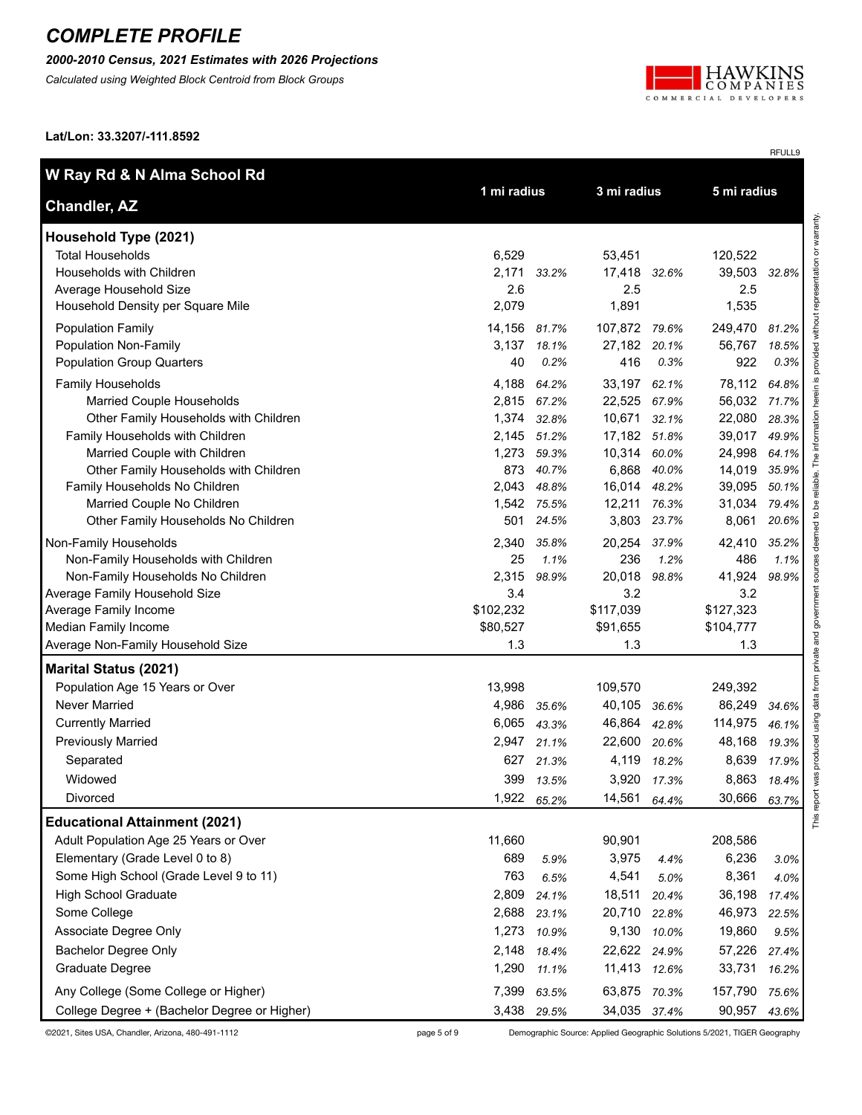#### *2000-2010 Census, 2021 Estimates with 2026 Projections*

*Calculated using Weighted Block Centroid from Block Groups*



RFULL9

**Lat/Lon: 33.3207/-111.8592**

| W Ray Rd & N Alma School Rd                  | 3 mi radius  |             |               |             |              |         |                                              |
|----------------------------------------------|--------------|-------------|---------------|-------------|--------------|---------|----------------------------------------------|
| <b>Chandler, AZ</b>                          |              | 1 mi radius |               | 5 mi radius |              |         |                                              |
| Household Type (2021)                        |              |             |               |             |              |         | provided without representation or warranty. |
| <b>Total Households</b>                      | 6,529        |             | 53,451        |             | 120,522      |         |                                              |
| Households with Children                     | 2,171        | 33.2%       | 17,418 32.6%  |             | 39,503       | 32.8%   |                                              |
| Average Household Size                       | 2.6          |             | 2.5           |             | 2.5          |         |                                              |
| Household Density per Square Mile            | 2,079        |             | 1,891         |             | 1,535        |         |                                              |
| <b>Population Family</b>                     | 14,156 81.7% |             | 107,872 79.6% |             | 249,470      | 81.2%   |                                              |
| Population Non-Family                        |              | 3,137 18.1% | 27,182 20.1%  |             | 56,767       | 18.5%   |                                              |
| <b>Population Group Quarters</b>             | 40           | 0.2%        | 416           | 0.3%        | 922          | 0.3%    |                                              |
| Family Households                            | 4,188        | 64.2%       | 33,197 62.1%  |             | 78,112       | 64.8%   |                                              |
| Married Couple Households                    |              | 2,815 67.2% | 22,525 67.9%  |             | 56,032 71.7% |         |                                              |
| Other Family Households with Children        |              | 1,374 32.8% | 10,671        | 32.1%       | 22,080       | 28.3%   |                                              |
| Family Households with Children              |              | 2,145 51.2% | 17,182 51.8%  |             | 39,017       | 49.9%   |                                              |
| Married Couple with Children                 |              | 1,273 59.3% | 10,314 60.0%  |             | 24,998       | 64.1%   | The inform                                   |
| Other Family Households with Children        | 873          | 40.7%       | 6,868         | 40.0%       | 14,019       | 35.9%   |                                              |
| Family Households No Children                | 2,043        | 48.8%       | 16,014        | 48.2%       | 39,095       | 50.1%   | reliable.                                    |
| Married Couple No Children                   |              | 1,542 75.5% | 12,211        | 76.3%       | 31,034       | 79.4%   | å                                            |
| Other Family Households No Children          | 501          | 24.5%       | 3,803         | 23.7%       | 8,061        | 20.6%   | ed to                                        |
| Non-Family Households                        | 2,340        | 35.8%       | 20,254        | 37.9%       | 42,410       | 35.2%   | deer                                         |
| Non-Family Households with Children          | 25           | 1.1%        | 236           | 1.2%        | 486          | $1.1\%$ |                                              |
| Non-Family Households No Children            | 2,315        | 98.9%       | 20,018        | 98.8%       | 41,924       | 98.9%   |                                              |
| Average Family Household Size                | 3.4          |             | 3.2           |             | 3.2          |         |                                              |
| Average Family Income                        | \$102,232    |             | \$117,039     |             | \$127,323    |         |                                              |
| Median Family Income                         | \$80,527     |             | \$91,655      |             | \$104,777    |         |                                              |
| Average Non-Family Household Size            | 1.3          |             | 1.3           |             | 1.3          |         | private and government                       |
| <b>Marital Status (2021)</b>                 |              |             |               |             |              |         |                                              |
| Population Age 15 Years or Over              | 13,998       |             | 109,570       |             | 249,392      |         | data from                                    |
| <b>Never Married</b>                         | 4,986        | 35.6%       | 40,105        | 36.6%       | 86,249       | 34.6%   |                                              |
| <b>Currently Married</b>                     | 6,065        | 43.3%       | 46,864        | 42.8%       | 114,975      | 46.1%   | using                                        |
| <b>Previously Married</b>                    | 2,947        | 21.1%       | 22,600        | 20.6%       | 48,168       | 19.3%   |                                              |
| Separated                                    | 627          | 21.3%       | 4,119         | 18.2%       | 8,639        | 17.9%   | produced                                     |
| Widowed                                      | 399          | 13.5%       |               | 3,920 17.3% | 8,863        | 18.4%   | was                                          |
| Divorced                                     | 1,922        | 65.2%       | 14,561        | 64.4%       | 30,666       | 63.7%   |                                              |
| <b>Educational Attainment (2021)</b>         |              |             |               |             |              |         | This repo                                    |
| Adult Population Age 25 Years or Over        | 11,660       |             | 90,901        |             | 208,586      |         |                                              |
| Elementary (Grade Level 0 to 8)              | 689          | 5.9%        | 3,975         | 4.4%        | 6,236        | 3.0%    |                                              |
| Some High School (Grade Level 9 to 11)       | 763          | 6.5%        | 4,541         | 5.0%        | 8,361        | 4.0%    |                                              |
| <b>High School Graduate</b>                  | 2,809        | 24.1%       | 18,511        | 20.4%       | 36,198       | 17.4%   |                                              |
| Some College                                 | 2,688        | 23.1%       | 20,710        | 22.8%       | 46,973       | 22.5%   |                                              |
| Associate Degree Only                        | 1,273        | 10.9%       | 9,130         | 10.0%       | 19,860       | 9.5%    |                                              |
| <b>Bachelor Degree Only</b>                  | 2,148        | 18.4%       | 22,622 24.9%  |             | 57,226       | 27.4%   |                                              |
| Graduate Degree                              | 1,290        | 11.1%       | 11,413        | 12.6%       | 33,731       | 16.2%   |                                              |
|                                              |              |             |               |             |              |         |                                              |
| Any College (Some College or Higher)         | 7,399        | 63.5%       | 63,875        | 70.3%       | 157,790      | 75.6%   |                                              |
| College Degree + (Bachelor Degree or Higher) |              | 3,438 29.5% | 34,035 37.4%  |             | 90,957       | 43.6%   |                                              |

©2021, Sites USA, Chandler, Arizona, 480-491-1112 page 5 of 9 Demographic Source: Applied Geographic Solutions 5/2021, TIGER Geography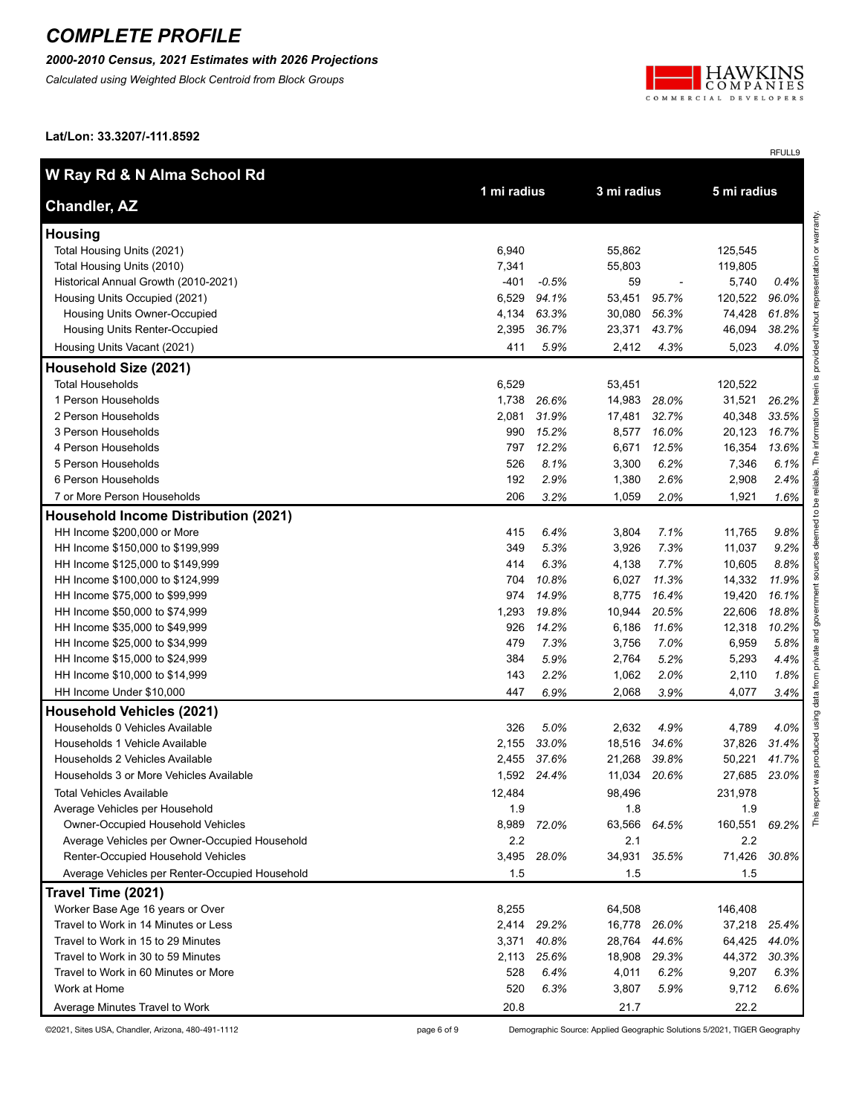#### *2000-2010 Census, 2021 Estimates with 2026 Projections*

*Calculated using Weighted Block Centroid from Block Groups*



RFULL9

**Lat/Lon: 33.3207/-111.8592**

| W Ray Rd & N Alma School Rd                    |        |             |              | 3 mi radius |             |       |
|------------------------------------------------|--------|-------------|--------------|-------------|-------------|-------|
| <b>Chandler, AZ</b>                            |        | 1 mi radius |              |             | 5 mi radius |       |
| <b>Housing</b>                                 |        |             |              |             |             |       |
| Total Housing Units (2021)                     | 6,940  |             | 55,862       |             | 125,545     |       |
| Total Housing Units (2010)                     | 7,341  |             | 55,803       |             | 119,805     |       |
| Historical Annual Growth (2010-2021)           | $-401$ | $-0.5%$     | 59           |             | 5,740       | 0.4%  |
| Housing Units Occupied (2021)                  | 6,529  | 94.1%       | 53,451       | 95.7%       | 120,522     | 96.0% |
| Housing Units Owner-Occupied                   | 4,134  | 63.3%       | 30,080       | 56.3%       | 74,428      | 61.8% |
| Housing Units Renter-Occupied                  | 2,395  | 36.7%       | 23,371       | 43.7%       | 46,094      | 38.2% |
| Housing Units Vacant (2021)                    | 411    | 5.9%        | 2,412        | 4.3%        | 5,023       | 4.0%  |
| Household Size (2021)                          |        |             |              |             |             |       |
| <b>Total Households</b>                        | 6,529  |             | 53,451       |             | 120,522     |       |
| 1 Person Households                            | 1,738  | 26.6%       | 14,983       | 28.0%       | 31,521      | 26.2% |
| 2 Person Households                            | 2,081  | 31.9%       | 17,481       | 32.7%       | 40,348      | 33.5% |
| 3 Person Households                            | 990    | 15.2%       | 8,577        | 16.0%       | 20,123      | 16.7% |
| 4 Person Households                            | 797    | 12.2%       | 6,671        | 12.5%       | 16,354      | 13.6% |
| 5 Person Households                            | 526    | 8.1%        | 3,300        | 6.2%        | 7,346       | 6.1%  |
| 6 Person Households                            | 192    | 2.9%        | 1,380        | 2.6%        | 2,908       | 2.4%  |
| 7 or More Person Households                    | 206    | 3.2%        | 1,059        | 2.0%        | 1,921       | 1.6%  |
| <b>Household Income Distribution (2021)</b>    |        |             |              |             |             |       |
| HH Income \$200,000 or More                    | 415    | 6.4%        | 3,804        | 7.1%        | 11,765      | 9.8%  |
| HH Income \$150,000 to \$199,999               | 349    | 5.3%        | 3,926        | 7.3%        | 11,037      | 9.2%  |
| HH Income \$125,000 to \$149,999               | 414    | 6.3%        | 4,138        | 7.7%        | 10,605      | 8.8%  |
| HH Income \$100,000 to \$124,999               | 704    | 10.8%       | 6,027        | 11.3%       | 14,332      | 11.9% |
| HH Income \$75,000 to \$99,999                 | 974    | 14.9%       | 8,775        | 16.4%       | 19,420      | 16.1% |
| HH Income \$50,000 to \$74,999                 | 1,293  | 19.8%       | 10,944       | 20.5%       | 22,606      | 18.8% |
| HH Income \$35,000 to \$49,999                 | 926    | 14.2%       | 6,186        | 11.6%       | 12,318      | 10.2% |
| HH Income \$25,000 to \$34,999                 | 479    | 7.3%        | 3,756        | 7.0%        | 6,959       | 5.8%  |
| HH Income \$15,000 to \$24,999                 | 384    | 5.9%        | 2,764        | 5.2%        | 5,293       | 4.4%  |
| HH Income \$10,000 to \$14,999                 | 143    | 2.2%        | 1,062        | 2.0%        | 2,110       | 1.8%  |
| HH Income Under \$10,000                       | 447    | 6.9%        | 2,068        | 3.9%        | 4,077       | 3.4%  |
| <b>Household Vehicles (2021)</b>               |        |             |              |             |             |       |
| Households 0 Vehicles Available                | 326    | 5.0%        | 2,632        | 4.9%        | 4,789       | 4.0%  |
| Households 1 Vehicle Available                 | 2,155  | 33.0%       | 18,516       | 34.6%       | 37,826      | 31.4% |
| Households 2 Vehicles Available                | 2,455  | 37.6%       | 21,268       | 39.8%       | 50,221      | 41.7% |
| Households 3 or More Vehicles Available        | 1,592  | 24.4%       | 11,034       | 20.6%       | 27,685      | 23.0% |
| <b>Total Vehicles Available</b>                | 12,484 |             | 98,496       |             | 231,978     |       |
| Average Vehicles per Household                 | 1.9    |             | 1.8          |             | 1.9         |       |
| Owner-Occupied Household Vehicles              |        | 8,989 72.0% | 63,566 64.5% |             | 160,551     | 69.2% |
| Average Vehicles per Owner-Occupied Household  | 2.2    |             | 2.1          |             | 2.2         |       |
| Renter-Occupied Household Vehicles             | 3,495  | 28.0%       | 34,931       | 35.5%       | 71,426      | 30.8% |
| Average Vehicles per Renter-Occupied Household | 1.5    |             | 1.5          |             | 1.5         |       |
| Travel Time (2021)                             |        |             |              |             |             |       |
| Worker Base Age 16 years or Over               | 8,255  |             | 64,508       |             | 146,408     |       |
| Travel to Work in 14 Minutes or Less           | 2,414  | 29.2%       | 16,778       | 26.0%       | 37,218      | 25.4% |
| Travel to Work in 15 to 29 Minutes             | 3,371  | 40.8%       | 28,764       | 44.6%       | 64,425      | 44.0% |
| Travel to Work in 30 to 59 Minutes             | 2,113  | 25.6%       | 18,908       | 29.3%       | 44,372      | 30.3% |
| Travel to Work in 60 Minutes or More           | 528    | 6.4%        | 4,011        | 6.2%        | 9,207       | 6.3%  |
| Work at Home                                   | 520    | 6.3%        | 3,807        | 5.9%        | 9,712       | 6.6%  |
| Average Minutes Travel to Work                 | 20.8   |             | 21.7         |             | 22.2        |       |

©2021, Sites USA, Chandler, Arizona, 480-491-1112 page 6 of 9 Demographic Source: Applied Geographic Solutions 5/2021, TIGER Geography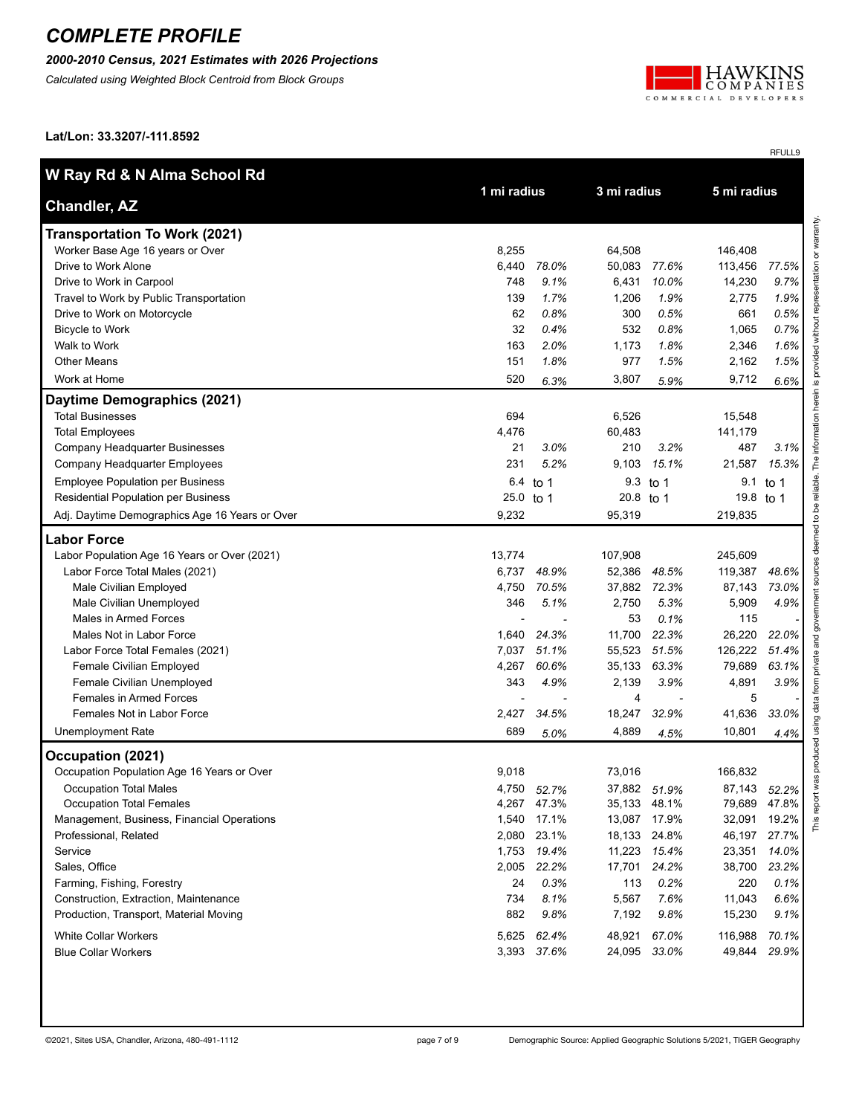### *2000-2010 Census, 2021 Estimates with 2026 Projections*

*Calculated using Weighted Block Centroid from Block Groups*



RFULL9

**Lat/Lon: 33.3207/-111.8592**

| W Ray Rd & N Alma School Rd                    |           |             |           | 3 mi radius  |           |       |
|------------------------------------------------|-----------|-------------|-----------|--------------|-----------|-------|
| <b>Chandler, AZ</b>                            |           | 1 mi radius |           | 5 mi radius  |           |       |
| <b>Transportation To Work (2021)</b>           |           |             |           |              |           |       |
| Worker Base Age 16 years or Over               | 8,255     |             | 64,508    |              | 146,408   |       |
| Drive to Work Alone                            | 6,440     | 78.0%       | 50,083    | 77.6%        | 113,456   | 77.5% |
| Drive to Work in Carpool                       | 748       | 9.1%        | 6,431     | 10.0%        | 14,230    | 9.7%  |
| Travel to Work by Public Transportation        | 139       | 1.7%        | 1,206     | 1.9%         | 2,775     | 1.9%  |
| Drive to Work on Motorcycle                    | 62        | 0.8%        | 300       | 0.5%         | 661       | 0.5%  |
| <b>Bicycle to Work</b>                         | 32        | 0.4%        | 532       | 0.8%         | 1,065     | 0.7%  |
| Walk to Work                                   | 163       | 2.0%        | 1,173     | 1.8%         | 2,346     | 1.6%  |
| <b>Other Means</b>                             | 151       | 1.8%        | 977       | 1.5%         | 2,162     | 1.5%  |
| Work at Home                                   | 520       | 6.3%        | 3,807     | 5.9%         | 9,712     | 6.6%  |
| Daytime Demographics (2021)                    |           |             |           |              |           |       |
| <b>Total Businesses</b>                        | 694       |             | 6,526     |              | 15,548    |       |
| <b>Total Employees</b>                         | 4,476     |             | 60,483    |              | 141,179   |       |
| Company Headquarter Businesses                 | 21        | 3.0%        | 210       | 3.2%         | 487       | 3.1%  |
| Company Headquarter Employees                  | 231       | 5.2%        | 9,103     | 15.1%        | 21,587    | 15.3% |
| <b>Employee Population per Business</b>        | 6.4       | to 1        |           | 9.3 to 1     | 9.1       | to 1  |
| Residential Population per Business            | 25.0 to 1 |             | 20.8 to 1 |              | 19.8 to 1 |       |
| Adj. Daytime Demographics Age 16 Years or Over | 9,232     |             | 95,319    |              | 219,835   |       |
| <b>Labor Force</b>                             |           |             |           |              |           |       |
| Labor Population Age 16 Years or Over (2021)   | 13,774    |             | 107,908   |              | 245,609   |       |
| Labor Force Total Males (2021)                 | 6,737     | 48.9%       | 52,386    | 48.5%        | 119,387   | 48.6% |
| Male Civilian Employed                         | 4,750     | 70.5%       | 37,882    | 72.3%        | 87,143    | 73.0% |
| Male Civilian Unemployed                       | 346       | 5.1%        | 2,750     | 5.3%         | 5,909     | 4.9%  |
| Males in Armed Forces                          |           |             | 53        | 0.1%         | 115       |       |
| Males Not in Labor Force                       | 1,640     | 24.3%       | 11,700    | 22.3%        | 26,220    | 22.0% |
| Labor Force Total Females (2021)               | 7,037     | 51.1%       | 55,523    | 51.5%        | 126,222   | 51.4% |
| Female Civilian Employed                       | 4,267     | 60.6%       | 35,133    | 63.3%        | 79,689    | 63.1% |
| Female Civilian Unemployed                     | 343       | 4.9%        | 2,139     | 3.9%         | 4,891     | 3.9%  |
| Females in Armed Forces                        |           |             | 4         |              | 5         |       |
| Females Not in Labor Force                     | 2,427     | 34.5%       | 18,247    | 32.9%        | 41,636    | 33.0% |
| <b>Unemployment Rate</b>                       | 689       | 5.0%        | 4,889     | 4.5%         | 10,801    | 4.4%  |
| Occupation (2021)                              |           |             |           |              |           |       |
| Occupation Population Age 16 Years or Over     | 9,018     |             | 73,016    |              | 166,832   |       |
| <b>Occupation Total Males</b>                  | 4,750     | 52.7%       |           | 37,882 51.9% | 87,143    | 52.2% |
| <b>Occupation Total Females</b>                |           | 4,267 47.3% |           | 35,133 48.1% | 79,689    | 47.8% |
| Management, Business, Financial Operations     | 1,540     | 17.1%       | 13,087    | 17.9%        | 32,091    | 19.2% |
| Professional, Related                          |           | 2,080 23.1% | 18,133    | 24.8%        | 46,197    | 27.7% |
| Service                                        |           | 1,753 19.4% |           | 11,223 15.4% | 23,351    | 14.0% |
| Sales, Office                                  | 2,005     | 22.2%       | 17,701    | 24.2%        | 38,700    | 23.2% |
| Farming, Fishing, Forestry                     | 24        | 0.3%        | 113       | 0.2%         | 220       | 0.1%  |
| Construction, Extraction, Maintenance          | 734       | 8.1%        | 5,567     | 7.6%         | 11,043    | 6.6%  |
| Production, Transport, Material Moving         | 882       | 9.8%        | 7,192     | 9.8%         | 15,230    | 9.1%  |
| <b>White Collar Workers</b>                    | 5,625     | 62.4%       | 48,921    | 67.0%        | 116,988   | 70.1% |
| <b>Blue Collar Workers</b>                     |           | 3,393 37.6% |           | 24,095 33.0% | 49,844    | 29.9% |
|                                                |           |             |           |              |           |       |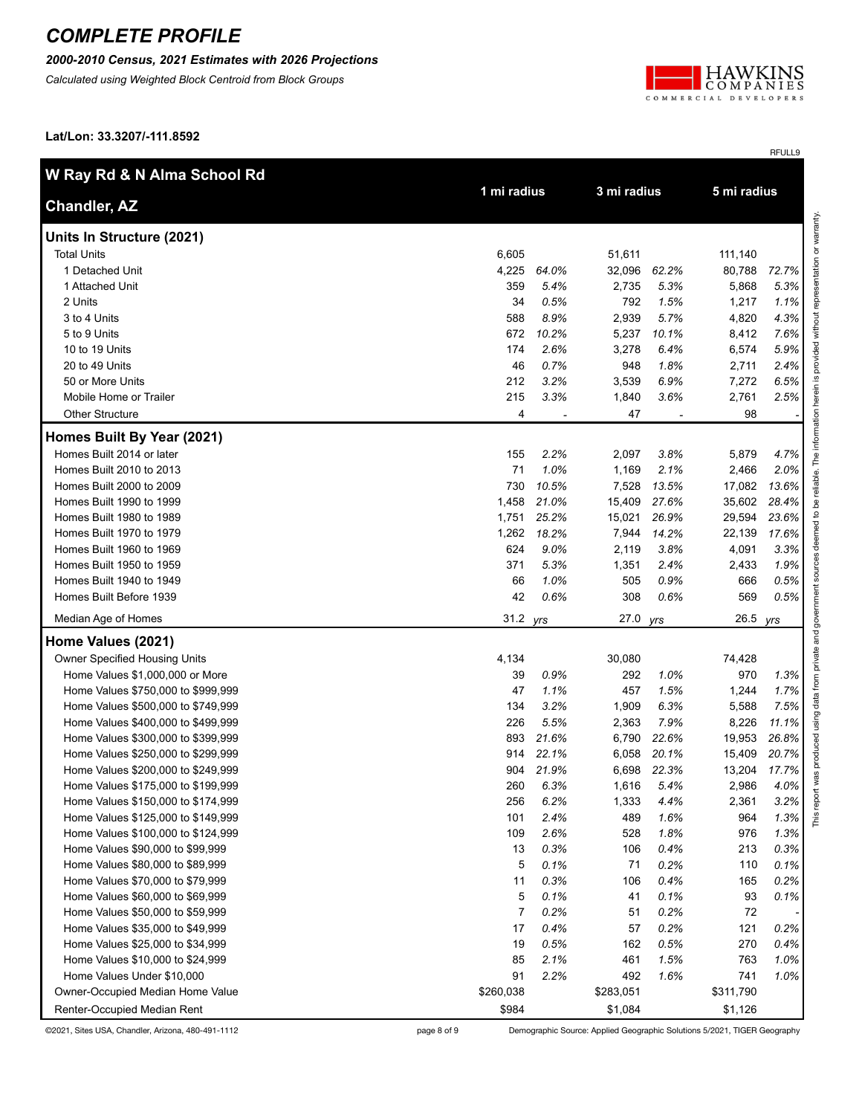#### *2000-2010 Census, 2021 Estimates with 2026 Projections*

*Calculated using Weighted Block Centroid from Block Groups*



RFULL9

**Lat/Lon: 33.3207/-111.8592**

| W Ray Rd & N Alma School Rd        |                |             | 3 mi radius |             |           |       |
|------------------------------------|----------------|-------------|-------------|-------------|-----------|-------|
| <b>Chandler, AZ</b>                |                | 1 mi radius |             | 5 mi radius |           |       |
| Units In Structure (2021)          |                |             |             |             |           |       |
| <b>Total Units</b>                 | 6,605          |             | 51,611      |             | 111,140   |       |
| 1 Detached Unit                    | 4,225          | 64.0%       | 32,096      | 62.2%       | 80,788    | 72.7% |
| 1 Attached Unit                    | 359            | 5.4%        | 2,735       | 5.3%        | 5,868     | 5.3%  |
| 2 Units                            | 34             | 0.5%        | 792         | 1.5%        | 1,217     | 1.1%  |
| 3 to 4 Units                       | 588            | 8.9%        | 2,939       | 5.7%        | 4,820     | 4.3%  |
| 5 to 9 Units                       | 672            | 10.2%       | 5,237       | 10.1%       | 8,412     | 7.6%  |
| 10 to 19 Units                     | 174            | 2.6%        | 3,278       | 6.4%        | 6,574     | 5.9%  |
| 20 to 49 Units                     | 46             | 0.7%        | 948         | 1.8%        | 2,711     | 2.4%  |
| 50 or More Units                   | 212            | 3.2%        | 3,539       | 6.9%        | 7,272     | 6.5%  |
| Mobile Home or Trailer             | 215            | 3.3%        | 1,840       | 3.6%        | 2,761     | 2.5%  |
| <b>Other Structure</b>             | 4              |             | 47          |             | 98        |       |
| Homes Built By Year (2021)         |                |             |             |             |           |       |
| Homes Built 2014 or later          | 155            | 2.2%        | 2,097       | 3.8%        | 5,879     | 4.7%  |
| Homes Built 2010 to 2013           | 71             | 1.0%        | 1,169       | 2.1%        | 2,466     | 2.0%  |
| Homes Built 2000 to 2009           | 730            | 10.5%       | 7,528       | 13.5%       | 17,082    | 13.6% |
| Homes Built 1990 to 1999           | 1,458          | 21.0%       | 15,409      | 27.6%       | 35,602    | 28.4% |
| Homes Built 1980 to 1989           | 1,751          | 25.2%       | 15,021      | 26.9%       | 29,594    | 23.6% |
| Homes Built 1970 to 1979           | 1,262          | 18.2%       | 7,944       | 14.2%       | 22,139    | 17.6% |
| Homes Built 1960 to 1969           | 624            | 9.0%        | 2,119       | 3.8%        | 4,091     | 3.3%  |
| Homes Built 1950 to 1959           | 371            | 5.3%        | 1,351       | 2.4%        | 2,433     | 1.9%  |
| Homes Built 1940 to 1949           | 66             | 1.0%        | 505         | 0.9%        | 666       | 0.5%  |
| Homes Built Before 1939            | 42             | 0.6%        | 308         | 0.6%        | 569       | 0.5%  |
| Median Age of Homes                | 31.2 yrs       |             | 27.0        | yrs         | 26.5      | yrs   |
| Home Values (2021)                 |                |             |             |             |           |       |
| Owner Specified Housing Units      | 4,134          |             | 30,080      |             | 74,428    |       |
| Home Values \$1,000,000 or More    | 39             | 0.9%        | 292         | 1.0%        | 970       | 1.3%  |
| Home Values \$750,000 to \$999,999 | 47             | 1.1%        | 457         | 1.5%        | 1,244     | 1.7%  |
| Home Values \$500,000 to \$749,999 | 134            | 3.2%        | 1,909       | 6.3%        | 5,588     | 7.5%  |
| Home Values \$400,000 to \$499,999 | 226            | 5.5%        | 2,363       | 7.9%        | 8,226     | 11.1% |
| Home Values \$300,000 to \$399,999 | 893            | 21.6%       | 6,790       | 22.6%       | 19,953    | 26.8% |
| Home Values \$250,000 to \$299,999 | 914            | 22.1%       | 6,058       | 20.1%       | 15,409    | 20.7% |
| Home Values \$200,000 to \$249,999 | 904            | 21.9%       | 6,698       | 22.3%       | 13,204    | 17.7% |
| Home Values \$175,000 to \$199,999 | 260            | 6.3%        | 1,616       | 5.4%        | 2,986     | 4.0%  |
| Home Values \$150,000 to \$174,999 | 256            | 6.2%        | 1,333       | 4.4%        | 2,361     | 3.2%  |
| Home Values \$125,000 to \$149,999 | 101            | 2.4%        | 489         | 1.6%        | 964       | 1.3%  |
| Home Values \$100,000 to \$124,999 | 109            | 2.6%        | 528         | 1.8%        | 976       | 1.3%  |
| Home Values \$90,000 to \$99,999   | 13             | 0.3%        | 106         | 0.4%        | 213       | 0.3%  |
| Home Values \$80,000 to \$89,999   | 5              | 0.1%        | 71          | 0.2%        | 110       | 0.1%  |
| Home Values \$70,000 to \$79,999   | 11             | 0.3%        | 106         | 0.4%        | 165       | 0.2%  |
| Home Values \$60,000 to \$69,999   | 5              | 0.1%        | 41          | 0.1%        | 93        | 0.1%  |
| Home Values \$50,000 to \$59,999   | $\overline{7}$ | 0.2%        | 51          | 0.2%        | 72        |       |
| Home Values \$35,000 to \$49,999   | 17             | 0.4%        | 57          | 0.2%        | 121       | 0.2%  |
| Home Values \$25,000 to \$34,999   | 19             | 0.5%        | 162         | 0.5%        | 270       | 0.4%  |
| Home Values \$10,000 to \$24,999   | 85             | 2.1%        | 461         | 1.5%        | 763       | 1.0%  |
| Home Values Under \$10,000         | 91             | 2.2%        | 492         | 1.6%        | 741       | 1.0%  |
| Owner-Occupied Median Home Value   | \$260,038      |             | \$283,051   |             | \$311,790 |       |
| Renter-Occupied Median Rent        | \$984          |             | \$1,084     |             | \$1,126   |       |

©2021, Sites USA, Chandler, Arizona, 480-491-1112 page 8 of 9 Demographic Source: Applied Geographic Solutions 5/2021, TIGER Geography